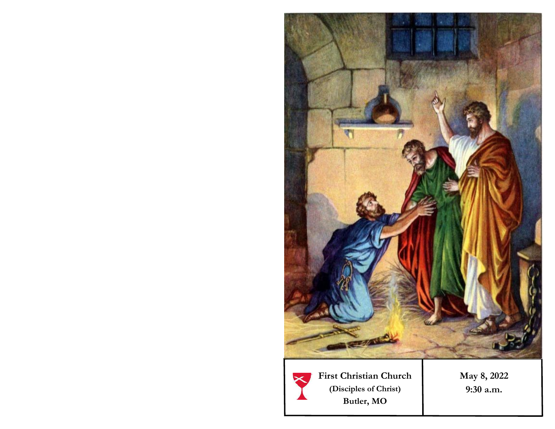

**First Christian Church (Disciples of Christ) Butler, MO** 

**May 8, 2022 9:30 a.m.**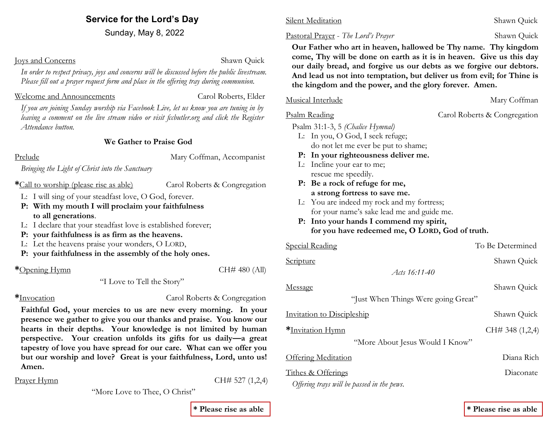# **Service for the Lord's Day**

Sunday, May 8, 2022

#### Joys and Concerns Shawn Quick

*In order to respect privacy, joys and concerns will be discussed before the public livestream. Please fill out a prayer request form and place in the offering tray during communion.* 

### Welcome and Announcements **Carol Roberts**, Elder

*If you are joining Sunday worship via Facebook Live, let us know you are tuning in by leaving a comment on the live stream video or visit fccbutler.org and click the Register Attendance button.*

#### **We Gather to Praise God**

Prelude Mary Coffman, Accompanist

*Bringing the Light of Christ into the Sanctuary*

**\***Call to worship (please rise as able) Carol Roberts & Congregation

L: I will sing of your steadfast love, O God, forever.

- **P: With my mouth I will proclaim your faithfulness to all generations**.
- L: I declare that your steadfast love is established forever;
- **P: your faithfulness is as firm as the heavens.**
- L: Let the heavens praise your wonders, O LORD,
- **P: your faithfulness in the assembly of the holy ones.**

**\***Opening Hymn CH# 480 (All)

"I Love to Tell the Story"

**\***Invocation Carol Roberts & Congregation

**Faithful God, your mercies to us are new every morning. In your presence we gather to give you our thanks and praise. You know our hearts in their depths. Your knowledge is not limited by human perspective. Your creation unfolds its gifts for us daily—a great tapestry of love you have spread for our care. What can we offer you but our worship and love? Great is your faithfulness, Lord, unto us! Amen.** 

#### Prayer Hymn CH# 527 (1,2,4)

"More Love to Thee, O Christ"

### Silent Meditation Shawn Quick

Pastoral Prayer - *The Lord's Prayer* Shawn Quick

 **Our Father who art in heaven, hallowed be Thy name. Thy kingdom come, Thy will be done on earth as it is in heaven. Give us this day our daily bread, and forgive us our debts as we forgive our debtors. And lead us not into temptation, but deliver us from evil; for Thine is the kingdom and the power, and the glory forever. Amen.**

#### Musical Interlude and Mary Coffman Mary Coffman

Psalm Reading Carol Roberts & Congregation

Psalm 31:1-3, 5 *(Chalice Hymnal)*

- L: In you, O God, I seek refuge; do not let me ever be put to shame;
- **P: In your righteousness deliver me.**
- L: Incline your ear to me; rescue me speedily.
- **P: Be a rock of refuge for me, a strong fortress to save me.**
- L: You are indeed my rock and my fortress; for your name's sake lead me and guide me.
- **P: Into your hands I commend my spirit, for you have redeemed me, O LORD, God of truth.**

| <u>Special Reading</u>                     | To Be Determined |  |  |
|--------------------------------------------|------------------|--|--|
| <u>Scripture</u>                           | Shawn Quick      |  |  |
| Acts 16:11-40                              |                  |  |  |
| <u>Message</u>                             | Shawn Quick      |  |  |
| "Just When Things Were going Great"        |                  |  |  |
| Invitation to Discipleship                 | Shawn Quick      |  |  |
| <u>*Invitation Hymn</u>                    | CH#348(1,2,4)    |  |  |
| "More About Jesus Would I Know"            |                  |  |  |
| Offering Meditation                        | Diana Rich       |  |  |
| Tithes & Offerings                         | Diaconate        |  |  |
| Offering trays will be passed in the pews. |                  |  |  |
|                                            |                  |  |  |

**\* Please rise as able \* Please rise as able**